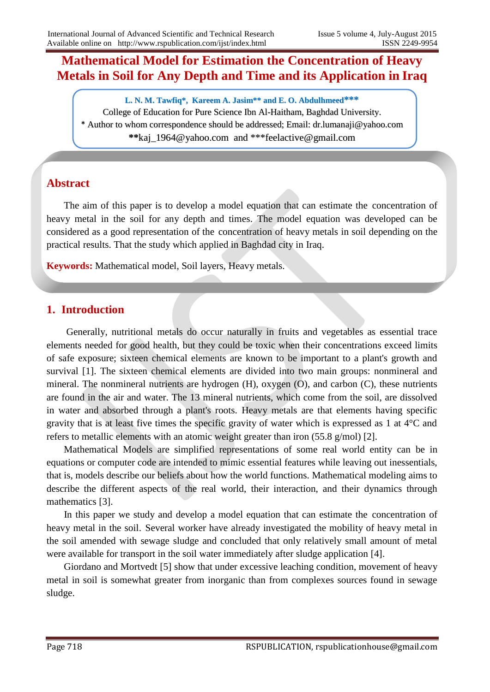# **Mathematical Model for Estimation the Concentration of Heavy Metals in Soil for Any Depth and Time and its Application in Iraq**

**L. N. M. Tawfiq\*, Kareem A. Jasim\*\* and E. O. Abdulhmeed\*\*\*** College of Education for Pure Science Ibn Al-Haitham, Baghdad University. \* Author to whom correspondence should be addressed; Email: dr.lumanaji@yahoo.com **\*\***kaj\_1964@yahoo.com and \*\*\*feelactive@gmail.com

### **Abstract**

 The aim of this paper is to develop a model equation that can estimate the concentration of heavy metal in the soil for any depth and times. The model equation was developed can be considered as a good representation of the concentration of heavy metals in soil depending on the practical results. That the study which applied in Baghdad city in Iraq.

**Keywords:** Mathematical model, Soil layers, Heavy metals.

### **1. Introduction**

 Generally, nutritional metals do occur naturally in fruits and vegetables as essential trace elements needed for good health, but they could be toxic when their concentrations exceed limits of safe exposure; sixteen chemical elements are known to be important to a plant's growth and survival [1]. The sixteen chemical elements are divided into two main groups: nonmineral and mineral. The nonmineral nutrients are hydrogen (H), oxygen (O), and carbon (C), these nutrients are found in the air and water. The 13 mineral nutrients, which come from the soil, are dissolved in water and absorbed through a plant's roots. Heavy metals are that elements having specific gravity that is at least five times the specific gravity of water which is expressed as 1 at 4°C and refers to metallic elements with an atomic weight greater than iron (55.8 g/mol) [2].

 Mathematical Models are simplified representations of some real world entity can be in equations or computer code are intended to mimic essential features while leaving out inessentials, that is, models describe our beliefs about how the world functions. Mathematical modeling aims to describe the different aspects of the real world, their interaction, and their dynamics through mathematics [3].

 In this paper we study and develop a model equation that can estimate the concentration of heavy metal in the soil. Several worker have already investigated the mobility of heavy metal in the soil amended with sewage sludge and concluded that only relatively small amount of metal were available for transport in the soil water immediately after sludge application [4].

 Giordano and Mortvedt [5] show that under excessive leaching condition, movement of heavy metal in soil is somewhat greater from inorganic than from complexes sources found in sewage sludge.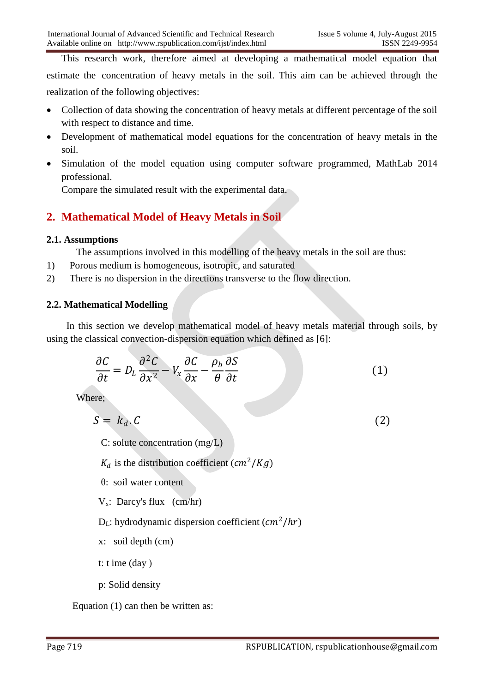This research work, therefore aimed at developing a mathematical model equation that estimate the concentration of heavy metals in the soil. This aim can be achieved through the realization of the following objectives:

- Collection of data showing the concentration of heavy metals at different percentage of the soil with respect to distance and time.
- Development of mathematical model equations for the concentration of heavy metals in the soil.
- Simulation of the model equation using computer software programmed, MathLab 2014 professional.

Compare the simulated result with the experimental data.

## **2. Mathematical Model of Heavy Metals in Soil**

#### **2.1. Assumptions**

The assumptions involved in this modelling of the heavy metals in the soil are thus:

- 1) Porous medium is homogeneous, isotropic, and saturated
- 2) There is no dispersion in the directions transverse to the flow direction.

### **2.2. Mathematical Modelling**

 In this section we develop mathematical model of heavy metals material through soils, by using the classical convection-dispersion equation which defined as [6]:

$$
\frac{\partial C}{\partial t} = D_L \frac{\partial^2 C}{\partial x^2} - V_x \frac{\partial C}{\partial x} - \frac{\rho_b}{\theta} \frac{\partial S}{\partial t}
$$
(1)

Where;

$$
S = k_d. C \tag{2}
$$

C: solute concentration (mg/L)

 $K_d$  is the distribution coefficient ( $cm^2/Kg$ )

θ: soil water content

 $V_x$ : Darcy's flux (cm/hr)

 $D_L$ : hydrodynamic dispersion coefficient  $(cm^2/hr)$ 

x: soil depth (cm)

t: t ime  $(\text{day})$ 

p: Solid density

Equation (1) can then be written as: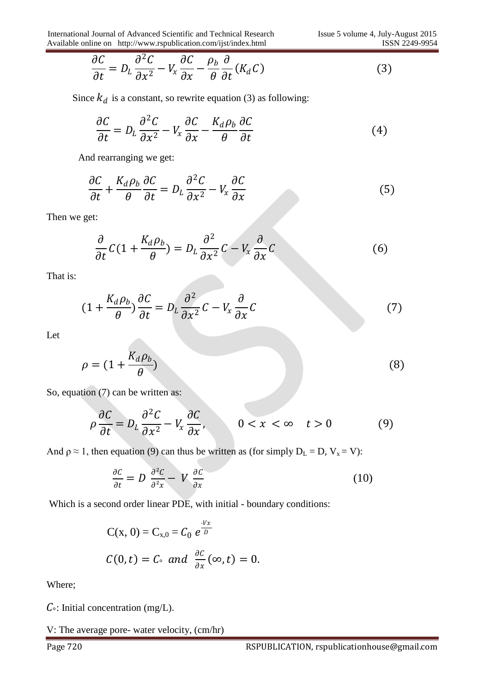$$
\frac{\partial C}{\partial t} = D_L \frac{\partial^2 C}{\partial x^2} - V_x \frac{\partial C}{\partial x} - \frac{\rho_b}{\theta} \frac{\partial}{\partial t} (K_d C)
$$
\n(3)

Since  $k_d$  is a constant, so rewrite equation (3) as following:

$$
\frac{\partial C}{\partial t} = D_L \frac{\partial^2 C}{\partial x^2} - V_x \frac{\partial C}{\partial x} - \frac{K_d \rho_b}{\theta} \frac{\partial C}{\partial t}
$$
(4)

And rearranging we get:

$$
\frac{\partial C}{\partial t} + \frac{K_d \rho_b}{\theta} \frac{\partial C}{\partial t} = D_L \frac{\partial^2 C}{\partial x^2} - V_x \frac{\partial C}{\partial x}
$$
(5)

Then we get:

$$
\frac{\partial}{\partial t}C(1+\frac{K_d\rho_b}{\theta})=D_L\frac{\partial^2}{\partial x^2}C-V_x\frac{\partial}{\partial x}C
$$
\n(6)

That is:

$$
(1 + \frac{K_d \rho_b}{\theta}) \frac{\partial C}{\partial t} = D_L \frac{\partial^2}{\partial x^2} C - V_x \frac{\partial}{\partial x} C \tag{7}
$$

Let

$$
\rho = (1 + \frac{K_d \rho_b}{\theta})
$$
\n(8)

So, equation (7) can be written as:

$$
\rho \frac{\partial C}{\partial t} = D_L \frac{\partial^2 C}{\partial x^2} - V_x \frac{\partial C}{\partial x}, \qquad 0 < x < \infty \quad t > 0 \tag{9}
$$

And  $\rho \approx 1$ , then equation (9) can thus be written as (for simply  $D_L = D$ ,  $V_x = V$ ):

$$
\frac{\partial C}{\partial t} = D \frac{\partial^2 C}{\partial^2 x} - V \frac{\partial C}{\partial x} \tag{10}
$$

Which is a second order linear PDE, with initial - boundary conditions:

$$
C(x, 0) = C_{x,0} = C_0 e^{\frac{-Vx}{D}}
$$
  

$$
C(0,t) = C_0 \text{ and } \frac{\partial C}{\partial x}(\infty, t) = 0.
$$

Where;

 $C$ <sup>o</sup>: Initial concentration (mg/L).

V: The average pore- water velocity, (cm/hr)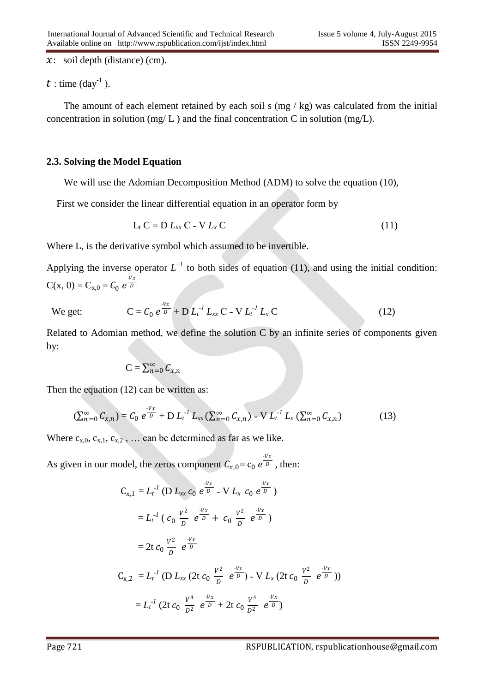$x:$  soil depth (distance) (cm).

 $t:$  time (day<sup>-1</sup>).

The amount of each element retained by each soil s (mg / kg) was calculated from the initial concentration in solution (mg/ $L$ ) and the final concentration C in solution (mg/ $L$ ).

#### **2.3. Solving the Model Equation**

We will use the Adomian Decomposition Method (ADM) to solve the equation (10),

First we consider the linear differential equation in an operator form by

$$
L_t C = D L_{xx} C - V L_x C \qquad (11)
$$

Where L, is the derivative symbol which assumed to be invertible.

Applying the inverse operator  $L^{-1}$  to both sides of equation (11), and using the initial condition:  $C(x, 0) = C_{x,0} = C_0 e^{\frac{-Vx}{D}}$ D

We get:

$$
C = C_0 e^{\frac{Vx}{D}} + D L_t^{-1} L_{xx} C - V L_t^{-1} L_x C
$$
 (12)

Related to Adomian method, we define the solution C by an infinite series of components given by:

$$
\mathbf{C}=\sum_{n=0}^\infty \mathcal{C}_{\boldsymbol{\mathcal{X}},n}
$$

Then the equation (12) can be written as:

$$
\left(\sum_{n=0}^{\infty} C_{x,n}\right) = C_0 e^{\frac{V_x}{D}} + D L_t^{-1} L_{xx} \left(\sum_{n=0}^{\infty} C_{x,n}\right) - V L_t^{-1} L_x \left(\sum_{n=0}^{\infty} C_{x,n}\right) \tag{13}
$$

Where  $c_{x,0}$ ,  $c_{x,1}$ ,  $c_{x,2}$ , ... can be determined as far as we like.

As given in our model, the zeros component  $C_{x,0} = c_0 e^{\frac{-Vx}{D}}$ , then:

$$
C_{x,1} = L_t^{-1} (D L_{xx} c_0 e^{\frac{-Vx}{D}} - V L_x c_0 e^{\frac{-Vx}{D}})
$$
  
\n
$$
= L_t^{-1} (c_0 \frac{V^2}{D} e^{\frac{-Vx}{D}} + c_0 \frac{V^2}{D} e^{\frac{-Vx}{D}})
$$
  
\n
$$
= 2t c_0 \frac{V^2}{D} e^{\frac{-Vx}{D}}
$$
  
\n
$$
C_{x,2} = L_t^{-1} (D L_{xx} (2t c_0 \frac{V^2}{D} e^{\frac{-Vx}{D}}) - V L_x (2t c_0 \frac{V^2}{D} e^{\frac{-Vx}{D}}))
$$
  
\n
$$
= L_t^{-1} (2t c_0 \frac{V^4}{D^2} e^{\frac{-Vx}{D}} + 2t c_0 \frac{V^4}{D^2} e^{\frac{-Vx}{D}})
$$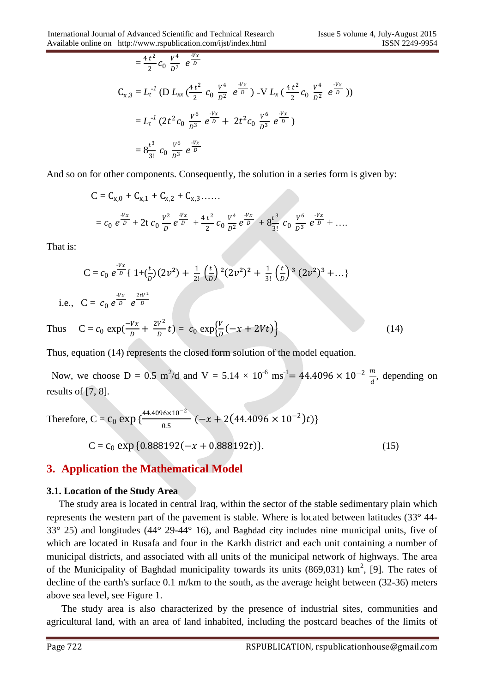$$
= \frac{4 t^2}{2} c_0 \frac{V^4}{D^2} e^{-\frac{Vx}{D}}
$$
  
\n
$$
C_{x,3} = L_t^{-1} (D L_{xx} (\frac{4 t^2}{2} c_0 \frac{V^4}{D^2} e^{-\frac{Vx}{D}}) - V L_x (\frac{4 t^2}{2} c_0 \frac{V^4}{D^2} e^{-\frac{Vx}{D}}))
$$
  
\n
$$
= L_t^{-1} (2t^2 c_0 \frac{V^6}{D^3} e^{-\frac{Vx}{D}} + 2t^2 c_0 \frac{V^6}{D^3} e^{-\frac{Vx}{D}})
$$
  
\n
$$
= 8 \frac{t^3}{3!} c_0 \frac{V^6}{D^3} e^{-\frac{Vx}{D}}
$$

And so on for other components. Consequently, the solution in a series form is given by:

$$
C = C_{x,0} + C_{x,1} + C_{x,2} + C_{x,3} + \cdots
$$
  
=  $c_0 e^{\frac{-Vx}{D}} + 2t c_0 \frac{V^2}{D} e^{\frac{-Vx}{D}} + \frac{4t^2}{2} c_0 \frac{V^4}{D^2} e^{\frac{-Vx}{D}} + 8 \frac{t^3}{3!} c_0 \frac{V^6}{D^3} e^{\frac{-Vx}{D}} + \cdots$ 

That is:

$$
C = c_0 e^{\frac{-Vx}{D}} \{ 1 + (\frac{t}{D})(2v^2) + \frac{1}{2!} (\frac{t}{D})^2 (2v^2)^2 + \frac{1}{3!} (\frac{t}{D})^3 (2v^2)^3 + \dots \}
$$
  
i.e.,  $C = c_0 e^{\frac{-Vx}{D}} e^{\frac{2tV^2}{D}}$ 

Thus  $C = c_0 \exp(\frac{-Vx}{D})$  $\frac{Vx}{D} + \frac{2V^2}{D}$  $\frac{V^2}{D}t$ ) =  $c_0 \exp{\frac{V}{D}}$  $\frac{V}{D}(-x + 2Vt)$  (14)

Thus, equation (14) represents the closed form solution of the model equation.

Now, we choose D = 0.5 m<sup>2</sup>/d and V = 5.14 × 10<sup>-6</sup> ms<sup>-1</sup> = 44.4096 × 10<sup>-2</sup>  $\frac{m}{d}$ , depending on results of [7, 8].

Therefore, C = c<sub>0</sub> exp {
$$
\frac{44.4096 \times 10^{-2}}{0.5}
$$
 (-x + 2(44.4096 × 10<sup>-2</sup>)t)}  
C = c<sub>0</sub> exp {0.888192(-x + 0.888192t)}. (15)

### **3. Application the Mathematical Model**

#### **3.1. Location of the Study Area**

 The study area is located in central Iraq, within the sector of the stable sedimentary plain which represents the western part of the pavement is stable. Where is located between latitudes (33° 44- 33° 25) and longitudes (44° 29-44° 16), and Baghdad city includes nine municipal units, five of which are located in Rusafa and four in the Karkh district and each unit containing a number of municipal districts, and associated with all units of the municipal network of highways. The area of the Municipality of Baghdad municipality towards its units  $(869,031)$  km<sup>2</sup>, [9]. The rates of decline of the earth's surface 0.1 m/km to the south, as the average height between (32-36) meters above sea level, see Figure 1.

 The study area is also characterized by the presence of industrial sites, communities and agricultural land, with an area of land inhabited, including the postcard beaches of the limits of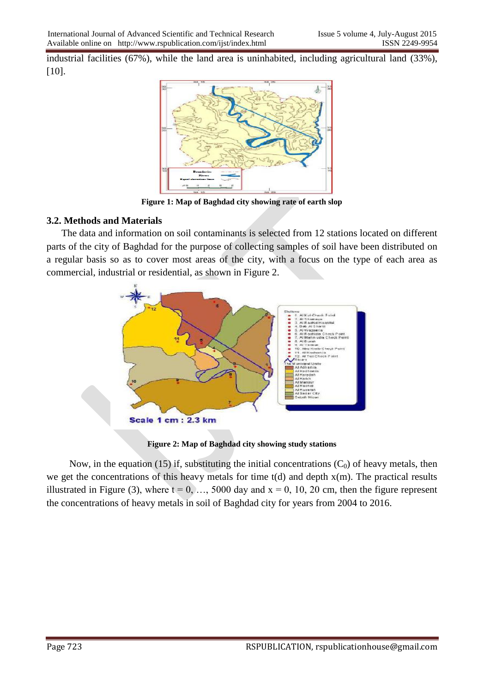industrial facilities (67%), while the land area is uninhabited, including agricultural land (33%), [10].



**Figure 1: Map of Baghdad city showing rate of earth slop**

#### **3.2. Methods and Materials**

 The data and information on soil contaminants is selected from 12 stations located on different parts of the city of Baghdad for the purpose of collecting samples of soil have been distributed on a regular basis so as to cover most areas of the city, with a focus on the type of each area as commercial, industrial or residential, as shown in Figure 2.



**Figure 2: Map of Baghdad city showing study stations**

Now, in the equation (15) if, substituting the initial concentrations  $(C_0)$  of heavy metals, then we get the concentrations of this heavy metals for time  $t(d)$  and depth  $x(m)$ . The practical results illustrated in Figure (3), where  $t = 0, \ldots, 5000$  day and  $x = 0, 10, 20$  cm, then the figure represent the concentrations of heavy metals in soil of Baghdad city for years from 2004 to 2016.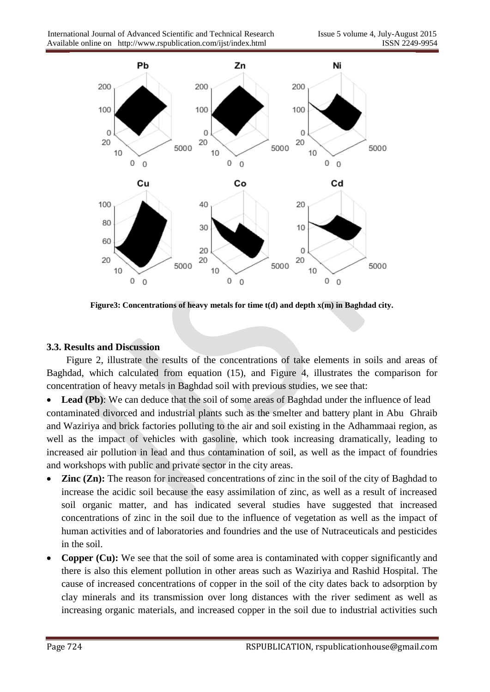

**Figure3: Concentrations of heavy metals for time t(d) and depth x(m) in Baghdad city.**

#### **3.3. Results and Discussion**

 Figure 2, illustrate the results of the concentrations of take elements in soils and areas of Baghdad, which calculated from equation (15), and Figure 4, illustrates the comparison for concentration of heavy metals in Baghdad soil with previous studies, we see that:

• Lead (Pb): We can deduce that the soil of some areas of Baghdad under the influence of lead contaminated divorced and industrial plants such as the smelter and battery plant in Abu Ghraib and Waziriya and brick factories polluting to the air and soil existing in the Adhammaai region, as well as the impact of vehicles with gasoline, which took increasing dramatically, leading to increased air pollution in lead and thus contamination of soil, as well as the impact of foundries and workshops with public and private sector in the city areas.

- **Zinc (Zn):** The reason for increased concentrations of zinc in the soil of the city of Baghdad to increase the acidic soil because the easy assimilation of zinc, as well as a result of increased soil organic matter, and has indicated several studies have suggested that increased concentrations of zinc in the soil due to the influence of vegetation as well as the impact of human activities and of laboratories and foundries and the use of Nutraceuticals and pesticides in the soil.
- **Copper (Cu):** We see that the soil of some area is contaminated with copper significantly and there is also this element pollution in other areas such as Waziriya and Rashid Hospital. The cause of increased concentrations of copper in the soil of the city dates back to adsorption by clay minerals and its transmission over long distances with the river sediment as well as increasing organic materials, and increased copper in the soil due to industrial activities such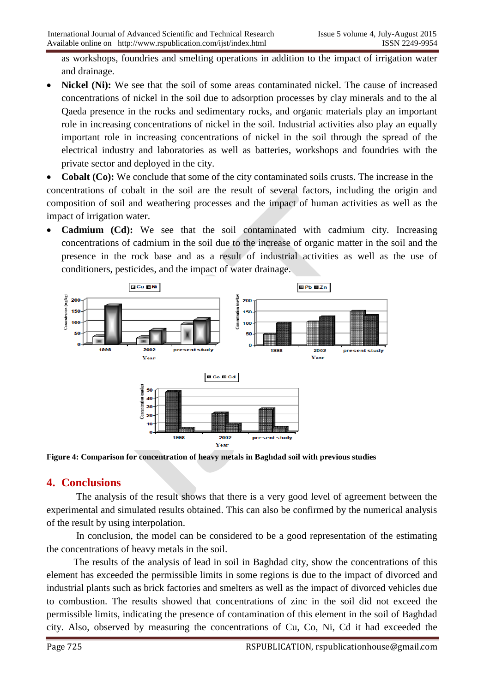as workshops, foundries and smelting operations in addition to the impact of irrigation water and drainage.

 **Nickel (Ni):** We see that the soil of some areas contaminated nickel. The cause of increased concentrations of nickel in the soil due to adsorption processes by clay minerals and to the al Qaeda presence in the rocks and sedimentary rocks, and organic materials play an important role in increasing concentrations of nickel in the soil. Industrial activities also play an equally important role in increasing concentrations of nickel in the soil through the spread of the electrical industry and laboratories as well as batteries, workshops and foundries with the private sector and deployed in the city.

 **Cobalt (Co):** We conclude that some of the city contaminated soils crusts. The increase in the concentrations of cobalt in the soil are the result of several factors, including the origin and composition of soil and weathering processes and the impact of human activities as well as the impact of irrigation water.

**Cadmium (Cd):** We see that the soil contaminated with cadmium city. Increasing concentrations of cadmium in the soil due to the increase of organic matter in the soil and the presence in the rock base and as a result of industrial activities as well as the use of conditioners, pesticides, and the impact of water drainage.



**Figure 4: Comparison for concentration of heavy metals in Baghdad soil with previous studies**

### **4. Conclusions**

The analysis of the result shows that there is a very good level of agreement between the experimental and simulated results obtained. This can also be confirmed by the numerical analysis of the result by using interpolation.

In conclusion, the model can be considered to be a good representation of the estimating the concentrations of heavy metals in the soil.

 The results of the analysis of lead in soil in Baghdad city, show the concentrations of this element has exceeded the permissible limits in some regions is due to the impact of divorced and industrial plants such as brick factories and smelters as well as the impact of divorced vehicles due to combustion. The results showed that concentrations of zinc in the soil did not exceed the permissible limits, indicating the presence of contamination of this element in the soil of Baghdad city. Also, observed by measuring the concentrations of Cu, Co, Ni, Cd it had exceeded the